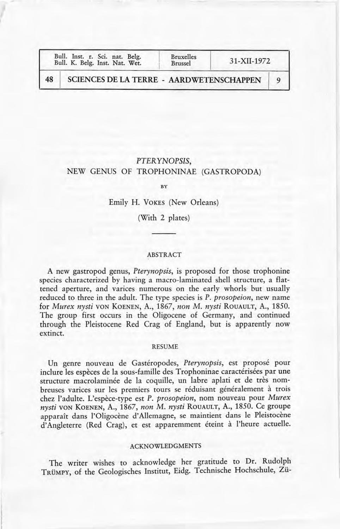|    | Bull. Inst. r. Sci. nat. Belg.<br>Bull. K. Belg. Inst. Nat. Wet. | <b>Bruxelles</b><br><b>Brussel</b> | 31-XII-1972 |  |
|----|------------------------------------------------------------------|------------------------------------|-------------|--|
| 48 | SCIENCES DE LA TERRE - AARDWETENSCHAPPEN                         |                                    |             |  |

# PTERYNOPSIS, NEW GENUS OF TROPHONINAE (GASTROPODA)

**BY** 

Emily H. Vokes (New Orléans)

(With 2 plates)

### ABSTRACT

A new gastropod genus, Pterynopsis, is proposed for those trophonine species characterized by having <sup>a</sup> macro-laminated shell structure, a flattened aperture, and varices numerous on the early whorls but usually reduced to three in the adult. The type species is P. prosopeion, new name for Murex nysti von KOENEN, A., 1867, non M. nysti ROUAULT, A., 1850. The group first occurs in the Oligocène of Germany, and continued through the Pleistocene Red Crag of England, but is apparently now extinct.

### RESUME

Un genre nouveau de Gastéropodes, Pterynopsis, est proposé pour inclure les espèces de la sous-famille des Trophoninae caractérisées par une structure macrolaminée de la coquille, un labre aplati et de très nombreuses varices sur les premiers tours se réduisant généralement <sup>à</sup> trois chez l'adulte. L'espèce-type est P. prosopeion, nom nouveau pour Murex nysti von Koenen, A., 1867, non M. nysti Rouault, A., 1850. Ce groupe apparaît dans l'Oligocène d'Allemagne, se maintient dans le Pleistocène d'Angleterre (Red Crag), et est apparemment éteint à l'heure actuelle.

### ACKNOWLEDGMENTS

The writer wishes to acknowledge her gratitude to Dr. Rudolph Trümpy, of the Geologisches Institut, Eidg. Technische Hochschule, Zü-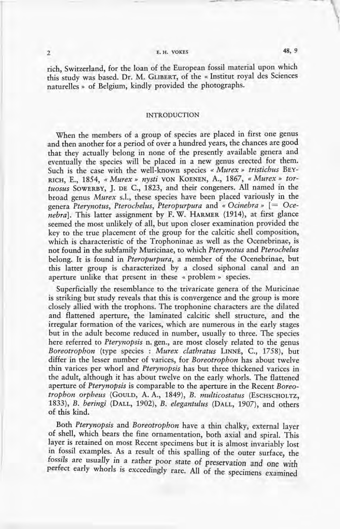### $E, H. VOKES$  48, 9

rich, Switzerland, for the loan of the European fossil material upon which this study was based. Dr. M. GLIBERT, of the « Institut royal des Sciences naturelles » of Belgium, kindly provided the photographs.

### INTRODUCTION

When the members of <sup>a</sup> group of species are placed in first one genus and then another for <sup>a</sup> period of over <sup>a</sup> hundred years, the chances are good that they actually belong in none of the presently available genera and eventually the species will be placed in <sup>a</sup> new genus erected for them. Such is the case with the well-known species « Murex » tristichus Beyrich, E., 1854, « Murex » nysti von Koenen, A., 1867, « Murex » tortuosus Sowerby, J. De C., 1823, and their congeners. All named in the broad genus Murex s.L, these species have been placed variously in the genera Pterynotus, Pterochelus, Pteropurpura and « Ocinebra » [= Ocenebral. This latter assignment by F. W. HARMER (1914), at first glance seemed the most unlikely of ail, but upon closer examination provided the key to the true placement of the group for the calcitic shell composition, which is characteristic of the Trophoninae as well as the Ocenebrinae, is not found in the subfamily Muricinae, to which Pterynotus and Pterochelus belong. It is found in Pteropurpura, a member of the Ocenebrinae, but this latter group is characterized by <sup>a</sup> closed siphonal canal and an aperture unlike that present in these « problem » species.

Superficially the resemblance to the trivaricate genera of the Muricinae is striking but study reveals that this is convergence and the group is more closely allied with the trophons. The trophonine characters are the dilated and flattened aperture, the laminated calcitic shell structure, and the irregular formation of the varices, which are numerous in the early stages but in the adult become reduced in number, usually to three. The species here referred to Pterynopsis n. gen., are most closely related to the genus Boreotrophon (type species : Murex clathratus LINNÉ, C., 1758), but differ in the lesser number of varices, for Boreotrophon has about twelve thin varices per whorl and Pterynopsis has but three thickened varices in the adult, although it has about twelve on the early whorls. The flattened aperture of Pterynopsis is comparable to the aperture in the Recent Boreotrophon orpheus (GOULD, A. A., 1849), B. multicostatus (ESCHSCHOLTZ, 1833), B. beringi (DALL, 1902), B. elegantulus (DALL, 1907), and others of this kind.

Both Pterynopsis and Boreotrophon have <sup>a</sup> thin chalky, external layer of shell, which bears the fine ornamentation, both axial and spiral. This layer is retained on most Recent specimens but it is almost invariably lost in fossil examples. As <sup>a</sup> resuit of this spalling of the outer surface, the perfect early whorls is exceedingly rare. All of the specimens examined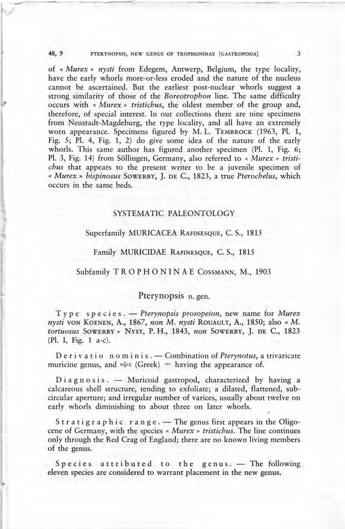### 48, 9 PTERYNOPSIS, NEW GENUS OF TROPHONINAE (GASTROPODA) 3

of « Murex » nysti from Edegem, Antwerp, Belgium, the type locality, have the early whorls more-or-less eroded and the nature of the nucleus cannot be ascertained. But the earliest post-nuclear whorls suggest <sup>a</sup> strong similarity of those of the Boreotrophon line. The same difficulty occurs with « Murex » tristicbus, the oldest member of the group and, therefore, of special interest. In our collections there are nine specimens from Neustadt-Magdeburg, the type locality, and all have an extremely worn appearance. Specimens figured by M. L. Tembrock (1963, Pl. 1, Fig. 5; Pl. 4, Fig. 1, 2) do give some idea of the nature of the early whorls. This same author has figured another specimen (Pl. 1, Fig. 6; Pl. 3, Fig. 14) from Söllingen, Germany, also referred to « Murex » tristichus that appears to the present writer to be a juvenile specimen of « Murex » bispinosus SOWERBY, J. DE C., 1823, a true Pterochelus, which occurs in the same beds.

### SYSTEMATIC PALEONTOLOGY

### Superfamily MURICACEA RAFINESQUE, C. S., 1815

### Family MURICIDAE Rafinesque, C. S., 1815

### Subfamily TROPHONINAE Cossmann, M., <sup>1903</sup>

### Pterynopsis n. gen.

Type species. — Pterynopsis prosopeion, new name for Murex nysti von Koenen, A., 1867, non M. nysti Rouault, A., 1850; also « M. tortuosus SOWERBY » NYST, P.H., 1843, non SOWERBY, J. DE C., 1823 (Pl. I, Fig. <sup>1</sup> a-c).

Derivatio nominis. — Combination of Pterynotus, a trivaricate muricine genus, and  $\psi(s)$  (Greek) = having the appearance of.

Diagnosis. — Muricoid gastropod, characterized by having <sup>a</sup> calcareous shell structure, tending to exfoliate; <sup>a</sup> dilated, flattened, subcircular aperture; and irregular number of varices, usually about twelve on early whorls diminishing to about three on later whorls.

 $Stringraphic range.$  The genus first appears in the Oligocene of Germany, with the species « Murex » tristichus. The line continues only through the Red Crag of England; there are no known living members of the genus.

Species attributed to the genus. — The following eleven species are considered to warrant placement in the new genus.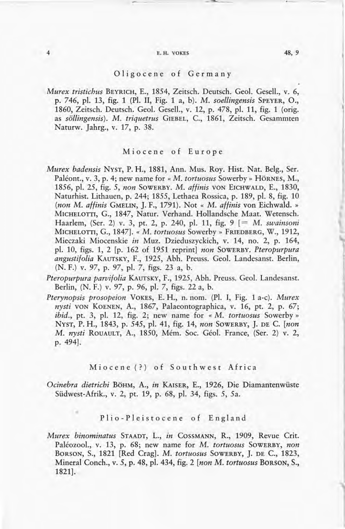#### 4 E.H. VOKES 48, 9

### Oligocène of Germany

Murex tristichus Beyrich, E., 1854, Zeitsch. Deutsch. Geol. GeselL, v. 6, p. 746, pl. 13, fig. <sup>1</sup> (Pl. II, Fig. <sup>1</sup> a, b). M. soellingensis Speyer, O., 1860, Zeitsch. Deutsch. Geol. GeselL, v. 12, p. 478, pl. 11, fig. <sup>1</sup> (orig. as söllingensis). M. triquetrus GIEBEL, C., 1861, Zeitsch. Gesammten Naturw. Jahrg., v. 17, p. 38.

### Miocene of Europe

- Murex badensis Nyst, P. H., 1881, Ann. Mus. Roy. Hist. Nat. Belg., Ser. Paléont., v. 3, p. 4; new name for « M. tortuosus Sowerby » Hörnes, M., 1856, pl. 25, fig. 5, non Sowerby. M. affinis von Eichwald, E., 1830, Naturhist. Lithauen, p. 244; 1855, Lethaea Rossica, p. 189, pl. 8, fig. <sup>10</sup> (non M. affinis GMELIN, J. F., 1791). Not « M. affinis von Eichwald. » Michelotti, G., 1847, Natur. Verhand. Hollandsche Maat. Wetensch. Haarlem, (Ser. 2) v. 3, pt. 2, p. 240, pl. 11, fig.  $9$  [= M. swainsoni Michelotti, G., 1847]. « M. tortuosus Sowerby » Friedberg, W., 1912, Mieczaki Miocenskie in Muz. Dzieduszyckich, v. 14, no. 2, p. 164, pl. 10, figs. 1, 2 [p. 162 of 1951 reprint] non Soweray. Pteropurpura angustifolia KAUTSKY, F., 1925, Abh. Preuss. Geol. Landesanst. Berlin, (N. F.) v. 97, p. 97, pl. 7, figs. 23 a, b.
- Pteropurpura parvifolia KAUTSKY, F., 1925, Abh. Preuss. Geol. Landesanst. Berlin, (N. F.) v. 97, p. 96, pl. 7, figs. 22 a, b.
- Pterynopsis prosopeion Vokes, E. H., n. nom. (Pl. I, Fig. <sup>1</sup> a-c). Murex nysti von Koenen, A., 1867, Palaeontographica, v. 16, pt. 2, p. 67; ibid., pt. 3, pl. 12, fig. 2; new name for « M. tortuosus Sowerby » NYST, P. H., 1843, p. 545, pl. 41, fig. 14, non SOWERBY, J. DE C. [non M. nysti Rouault, A., 1850, Mém. Soc. Géol. France, (Ser. 2) v. 2, p. 494],

Miocene (?) of Southwest Africa

Ocinebra dietrichi Böhm, A., in Kaiser, E., 1926, Die Diamantenwiiste Siidwest-Afrik., v. 2, pt. 19, p. 68, pl. 34, figs. 5, 5a.

## Plio-Pleistocene of England

Murex binominatus STAADT, L., in COSSMANN, R., 1909, Revue Crit. Paléozool., v. 13, p. 68; new name for M. tortuosus Sowerby, non BORSON, S., 1821 [Red Crag]. M. tortuosus SOWERBY, J. DE C., 1823, Minerai Conch., v. 5, p. 48, pl. 434, fig. <sup>2</sup> [non M. tortuosus Borson, S., 1821],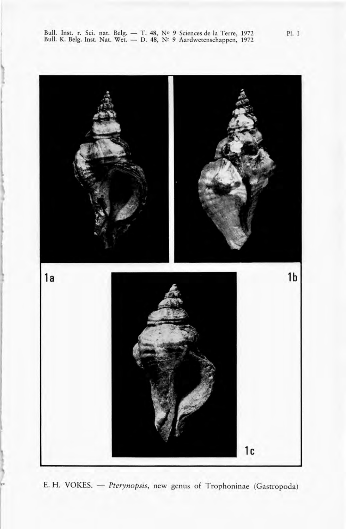

E. H. VOKES. — Pterynopsis, new genus of Trophoninae (Gastropoda)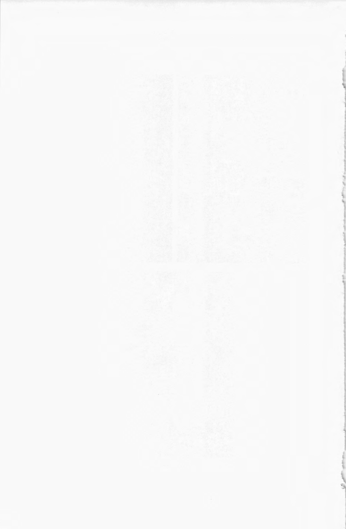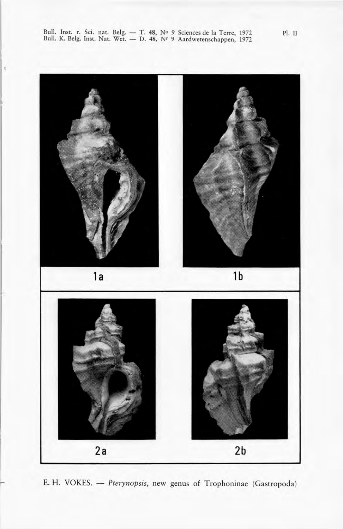

E. H. VOKES. - Pterynopsis, new genus of Trophoninae (Gastropoda)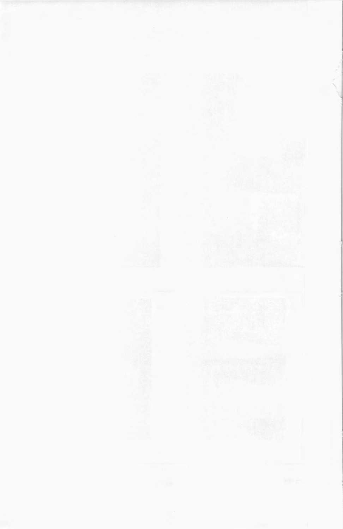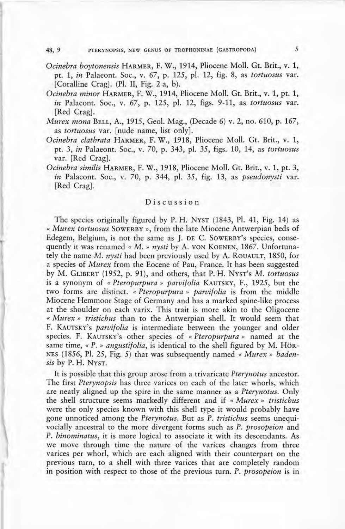48, 9 PTERYNOPSIS, NEW GENUS OF TROPHONINAE (GASTROPODA)

- Ocinebra boytonensis Harmer, F. W., 1914, Pliocene Moll. Gt. Brit., v. 1, pt. 1, in Palaeont. Soc., v. 67, p. 125, pl. 12, fig. 8, as tortuosus var. [Coralline Crag]. (Pl. II, Fig. 2 a, b).
- Ocinebra minor Harmer, F. W., 1914, Pliocene Moll. Gt. Brit., v. 1, pt. 1, in Palaeont. Soc., v. 67, p. 125, pl. 12, figs. 9-11, as tortuosus var. [Red Crag].
- Murex mona Bell, A., 1915, Geol. Mag., (Decade 6) v. 2, no. 610, p. 167, as tortuosus var. [nude name, list only].
- Ocinebra clathrata Harmer, F. W., 1918, Pliocene Moll. Gt. Brit., v. 1, pt. 3, in Palaeont. Soc., v. 70, p. 343, pl. 35, figs. 10, 14, as tortuosus var. [Red Crag].
- Ocinebra similis Harmer, F. W., 1918, Pliocene Moll. Gt. Brit., v. 1, pt. 3, in Palaeont. Soc., v. 70, p. 344, pl. 35, fig. 13, as pseudonysti var. [Red Crag].

### Discussion

The species originally figured by P. H. Nyst (1843, Pl. 41, Fig. 14) as « Murex tortuosus SOWERBY », from the late Miocene Antwerpian beds of Edegem, Belgium, is not the same as J. DE C. SOWERBY's species, consequently it was renamed « M. » *nysti* by A. von Koenen, 1867. Unfortunately the name  $M$ . *nysti* had been previously used by A. ROUAULT, 1850, for <sup>a</sup> species of Murex from the Eocene of Pau, France. It has been suggested by M. Glibert (1952, p. 91), and others, that P. H. Nyst's M. tortuosus is a synonym of *« Pteropurpura » parvifolia* Kautsky, F., 1925, but the two forms are distinct. « Pteropurpura » parvifolia is from the middle Miocene Hemmoor Stage of Germany and has <sup>a</sup> marked spine-like process at the shoulder on each varix. This trait is more akin to the Oligocene « Murex » tristichus than to the Antwerpian shell. It would seem that F. KAUTSKY's parvifolia is intermediate between the younger and older species. F. KAUTSKY's other species of « Pteropurpura » named at the same time,  $\ll P$ . » angustifolia, is identical to the shell figured by M. Hörnes (1856, Pl. 25, Fig. 5) that was subsequently named « Murex » badensis by P. H. Nyst.

It is possible that this group arose from <sup>a</sup> trivaricate Pterynotus ancestor. The first *Pterynopsis* has three varices on each of the later whorls, which are neatly aligned up the spire in the same manner as <sup>a</sup> Pterynotus. Only the shell structure seems markedly different and if « Murex » tristichus were the only species known with this shell type it would probably have gone unnoticed among the Pterynotus. But as P. tristichus seems unequivocially ancestral to the more divergent forms such as P. prosopeion and P. binominatus, it is more logical to associate it with its descendants. As we move through time the nature of the varices changes from three varices per whorl, which are each aligned with their counterpart on the previous turn, to a shell with three varices that are completely random in position with respect to those of the previous turn. P. prosopeion is in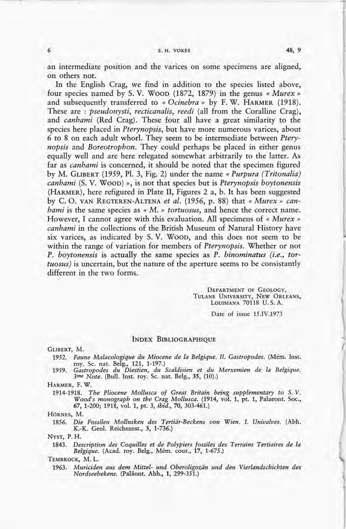an intermediate position and the varices on some specimens are aligned, on others not.

In the English Crag, we find in addition to the species listed above, four species named by S. V. Woop (1872, 1879) in the genus « Murex » and subsequently transferred to « Ocinebra » by F. W. HARMER (1918). These are : *pseudonysti, recticanalis, reedi* (all from the Coralline Crag), and *canhami* (Red Crag). These four all have a great similarity to the species here placed in Pterynopsis, but have more numerous varices, about 6 to 8 on each adult whorl. They seem to be intermediate between Pterynopsis and Boreotrophon. They could perhaps be placed in either genus equally well and are here relegated somewhat arbitrarily to the latter. As far as canhami is concerned, it should be noted that the specimen figured by M. GLIBERT (1959, Pl. 3, Fig. 2) under the name « Purpura (Tritonalia) canhami (S. V. WOOD) », is not that species but is Pterynopsis boytonensis (Harmer), here refigured in Plate II, Figures 2 a, b. It has been suggested by C. O. van REGTEREN-ALTENA et al. (1956, p. 88) that « Murex » canhami is the same species as « M. » tortuosus, and hence the correct name. However, I cannot agree with this evaluation. All specimens of « Murex » canhami in the collections of the British Museum of Natural History have six varices, as indicated by S.V. Woop, and this does not seem to be within the range of variation for members of Pterynopsis. Whether or not P. boytonensis is actually the same species as P. binominatus (i.e., tortuosus) is uncertain, but the nature of the aperture seems to be consistantly different in the two forms.

> Department of Geology, Tulane University, New Orléans, Louisiana 70118 U. S. A.

> > Date of issue 15.IV.1973

### Index Bibliographique

Glibert, M.

- 1952. Faune Malacologique du Miocene de la Belgique. 11. Gastropodes. (Mém. Inst.
- roy. Sc. nat. Belg., 121, 1-197.) 1959. Gastropodes du Diestien, du Scaldisien et du Merxemien de la Belgique. 3me Note. (Bull. Inst. roy. Sc. nat. Belg., 35, (10).)

Harmer, F. W.

1914-1918. The Pliocene Mollusca of Great Britain being supplementary to S. V. Wood's monograph on the Crag Mollusca. (1914, vol. 1, pt. 1, Palaeont. Soc., 67, 1-200; 1918, vol. 1, pt. 3, ibid., 70, 303-461.)

HÖRNES, M.

1856. Die Fossilen Mollusken des Tertiâr-Beckens von Wien. 1. Univalves. (Abh. K.-K. Geol. Reichsanst., 3, 1-736.)

Nyst, P. H.

1843. Description des Coquilles et de Polypiers fossiles des Terrains Tertiaires de la Belgique. (Acad. roy. Belg., Mém. cour., 17, 1-675.)

Tembrock, M. L.

1963. Muriciden aus dem Mittel- und Oberoligozàn und den Vierlandschichten des Nordseebekens. (Palaont. Abh., 1, 299-351.)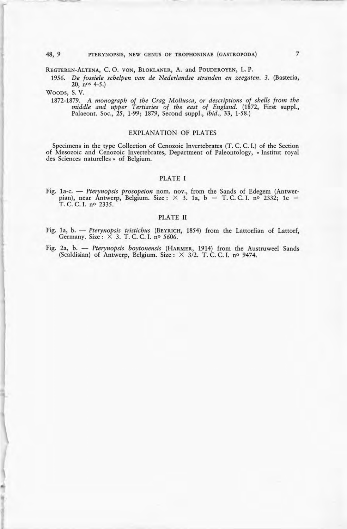Regteren-Altena, C. O. von, Bloklaner, A. and Pouderoyen, L. P.

1956. De fossiele schelpen van de Nederlandse stranden en zeegaten. 3. (Basteria,  $20, \text{nos } 4-5.$ )

Woods, S. V.

1872-1879. A monograph of the Crag Mollusca, or descriptions of shells from the middle and upper Tertiaries of the east of England. (1872, First suppl., Palaeont. Soc., 25, 1-99; 1879, Second suppl., ibid., 33, 1-58.)

### EXPLANATION OF PLATES

Specimens in the type Collection of Cenozoic Invertebrates (T. C. C. I.) of the Section of Mesozoic and Cenozoic Invertebrates, Department of Paleontology, « Institut royal des Sciences naturelles » of Belgium.

### PLATE I

Fig. 1a-c. — Pterynopsis prosopeion nom. nov., from the Sands of Edegem (Antwer-<br>pian), near Antwerp, Belgium. Size :  $\times$  3. 1a, b = T. C. C. I. nº 2332; 1c = T. C. C. I. n° 2335.

#### PLATE II

- Fig. la, b. Pterynopsis tristichus (Beyrich, 1854) from the Lattorfian of Lattorf, Germany. Size :  $\times$  3. T. C. C. I. nº 5606.
- Fig. 2a, b. Pterynopsis boytonensis (HARMER, 1914) from the Austruweel Sands (Scaldisian) of Antwerp, Belgium. Size :  $\times$  3/2. T. C. C. I. nº 9474.